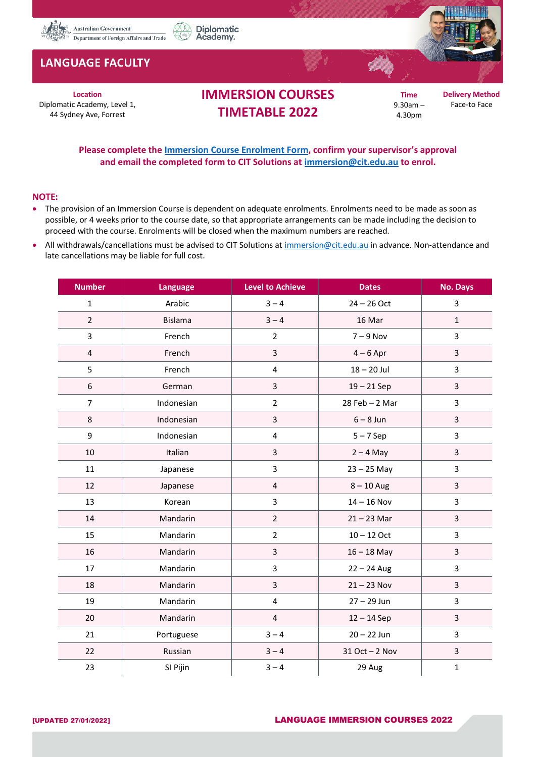

## **LANGUAGE FACULTY**

**Location** Diplomatic Academy, Level 1, 44 Sydney Ave, Forrest

## **IMMERSION COURSES TIMETABLE 2022**

Diplomatic

Academy.

**Time** 9.30am – 4.30pm

**Delivery Method** Face-to Face

**Please complete the [Immersion Course Enrolment Form,](https://diplomaticacademy.dfat.gov.au/faculties/language) confirm your supervisor's approval and email the completed form to CIT Solutions at [immersion@cit.edu.au](mailto:immersion@cit.edu.au) to enrol.**

## **NOTE:**

- The provision of an Immersion Course is dependent on adequate enrolments. Enrolments need to be made as soon as possible, or 4 weeks prior to the course date, so that appropriate arrangements can be made including the decision to proceed with the course. Enrolments will be closed when the maximum numbers are reached.
- All withdrawals/cancellations must be advised to CIT Solutions at [immersion@cit.edu.au](mailto:immersion@cit.edu.au) in advance. Non-attendance and late cancellations may be liable for full cost.

| <b>Number</b>           | <b>Language</b> | <b>Level to Achieve</b> | <b>Dates</b>       | <b>No. Days</b> |
|-------------------------|-----------------|-------------------------|--------------------|-----------------|
| $\mathbf{1}$            | Arabic          | $3 - 4$                 | $24 - 26$ Oct      | 3               |
| $\overline{2}$          | <b>Bislama</b>  | $3 - 4$                 | 16 Mar             | $\mathbf{1}$    |
| 3                       | French          | $\overline{2}$          | $7 - 9$ Nov        | 3               |
| $\overline{\mathbf{4}}$ | French          | 3                       | $4-6$ Apr          | 3               |
| 5                       | French          | 4                       | $18 - 20$ Jul      | 3               |
| 6                       | German          | 3                       | $19 - 21$ Sep      | 3               |
| $\overline{7}$          | Indonesian      | $\overline{2}$          | $28$ Feb $- 2$ Mar | 3               |
| 8                       | Indonesian      | 3                       | $6 - 8$ Jun        | 3               |
| 9                       | Indonesian      | 4                       | $5 - 7$ Sep        | 3               |
| 10                      | Italian         | 3                       | $2 - 4$ May        | $\overline{3}$  |
| 11                      | Japanese        | 3                       | $23 - 25$ May      | 3               |
| 12                      | Japanese        | $\overline{\mathbf{4}}$ | $8 - 10$ Aug       | 3               |
| 13                      | Korean          | 3                       | $14 - 16$ Nov      | 3               |
| 14                      | Mandarin        | $\overline{2}$          | $21 - 23$ Mar      | 3               |
| 15                      | Mandarin        | $\overline{2}$          | $10 - 12$ Oct      | 3               |
| 16                      | Mandarin        | 3                       | $16 - 18$ May      | $\mathsf{3}$    |
| 17                      | Mandarin        | 3                       | $22 - 24$ Aug      | 3               |
| 18                      | Mandarin        | 3                       | $21 - 23$ Nov      | $\overline{3}$  |
| 19                      | Mandarin        | $\overline{\mathbf{4}}$ | $27 - 29$ Jun      | $\overline{3}$  |
| 20                      | Mandarin        | $\overline{4}$          | $12 - 14$ Sep      | $\overline{3}$  |
| 21                      | Portuguese      | $3 - 4$                 | $20 - 22$ Jun      | 3               |
| 22                      | Russian         | $3 - 4$                 | $31$ Oct $-$ 2 Nov | $\overline{3}$  |
| 23                      | SI Pijin        | $3 - 4$                 | 29 Aug             | $\mathbf 1$     |